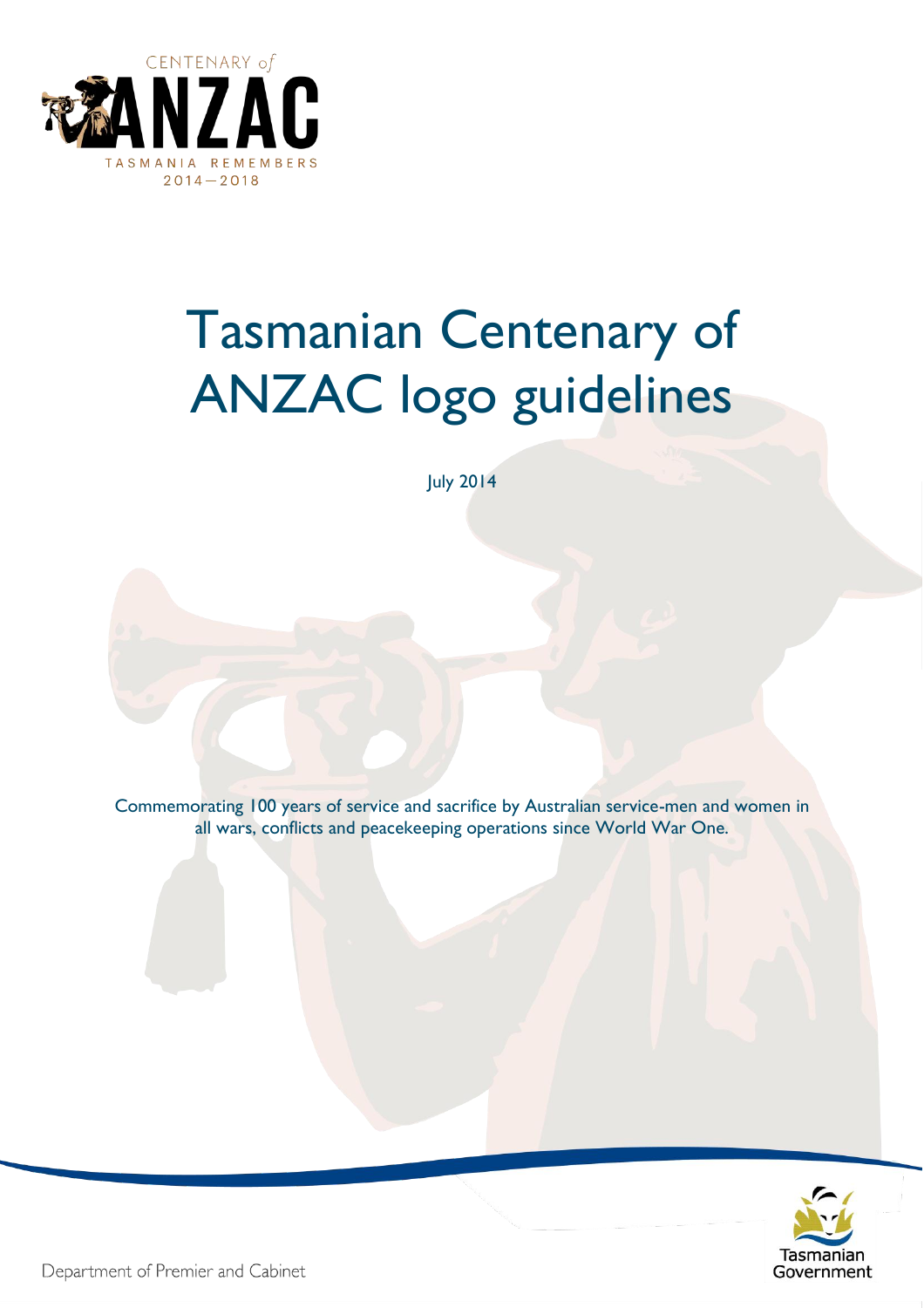

# Tasmanian Centenary of ANZAC logo guidelines

July 2014

Commemorating 100 years of service and sacrifice by Australian service-men and women in all wars, conflicts and peacekeeping operations since World War One.



Department of Premier and Cabinet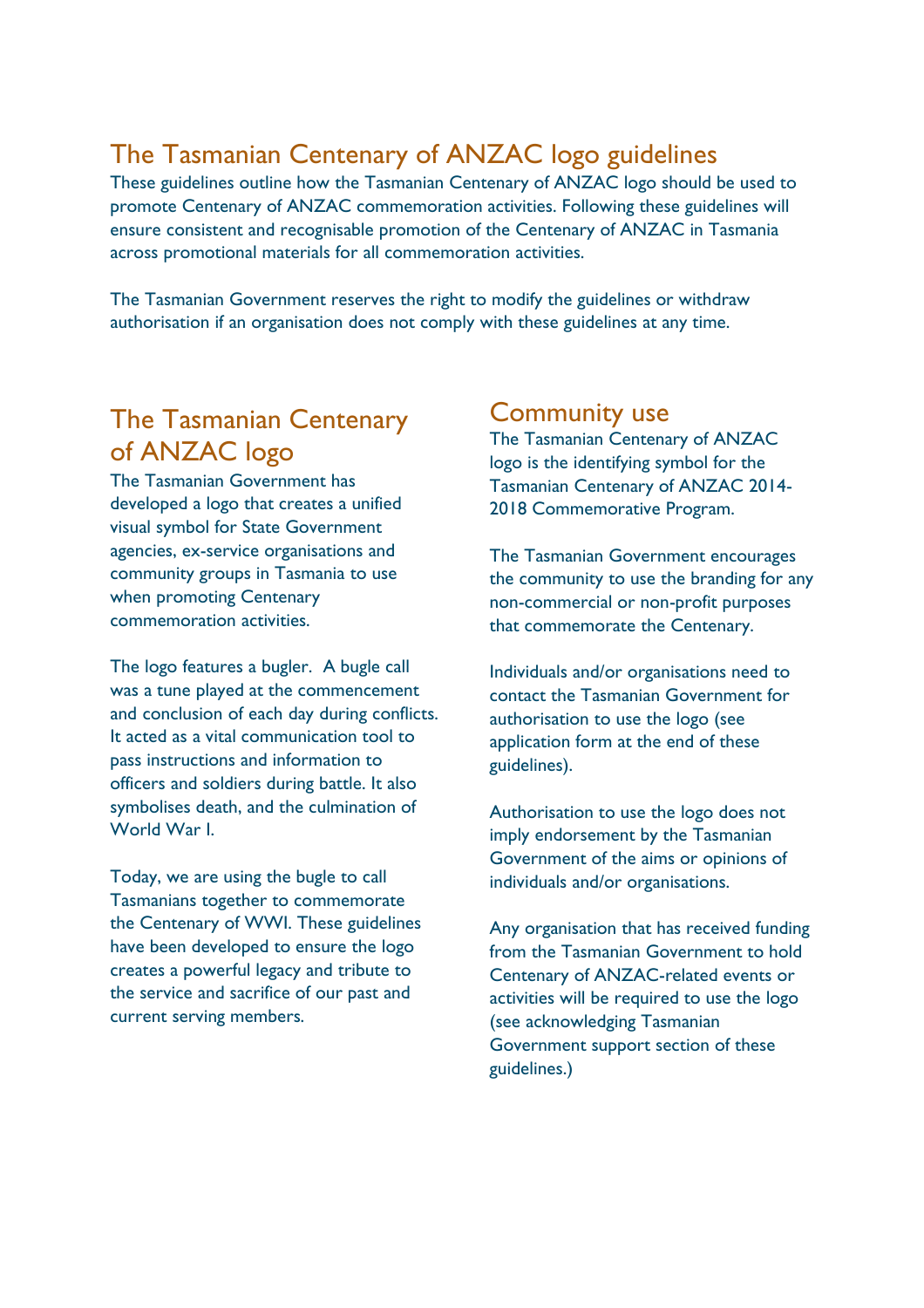# The Tasmanian Centenary of ANZAC logo guidelines

These guidelines outline how the Tasmanian Centenary of ANZAC logo should be used to promote Centenary of ANZAC commemoration activities. Following these guidelines will ensure consistent and recognisable promotion of the Centenary of ANZAC in Tasmania across promotional materials for all commemoration activities.

The Tasmanian Government reserves the right to modify the guidelines or withdraw authorisation if an organisation does not comply with these guidelines at any time.

# The Tasmanian Centenary of ANZAC logo

The Tasmanian Government has developed a logo that creates a unified visual symbol for State Government agencies, ex-service organisations and community groups in Tasmania to use when promoting Centenary commemoration activities.

The logo features a bugler. A bugle call was a tune played at the commencement and conclusion of each day during conflicts. It acted as a vital communication tool to pass instructions and information to officers and soldiers during battle. It also symbolises death, and the culmination of World War I.

Today, we are using the bugle to call Tasmanians together to commemorate the Centenary of WWI. These guidelines have been developed to ensure the logo creates a powerful legacy and tribute to the service and sacrifice of our past and current serving members.

## Community use

The Tasmanian Centenary of ANZAC logo is the identifying symbol for the Tasmanian Centenary of ANZAC 2014- 2018 Commemorative Program.

The Tasmanian Government encourages the community to use the branding for any non-commercial or non-profit purposes that commemorate the Centenary.

Individuals and/or organisations need to contact the Tasmanian Government for authorisation to use the logo (see application form at the end of these guidelines).

Authorisation to use the logo does not imply endorsement by the Tasmanian Government of the aims or opinions of individuals and/or organisations.

Any organisation that has received funding from the Tasmanian Government to hold Centenary of ANZAC-related events or activities will be required to use the logo (see acknowledging Tasmanian Government support section of these guidelines.)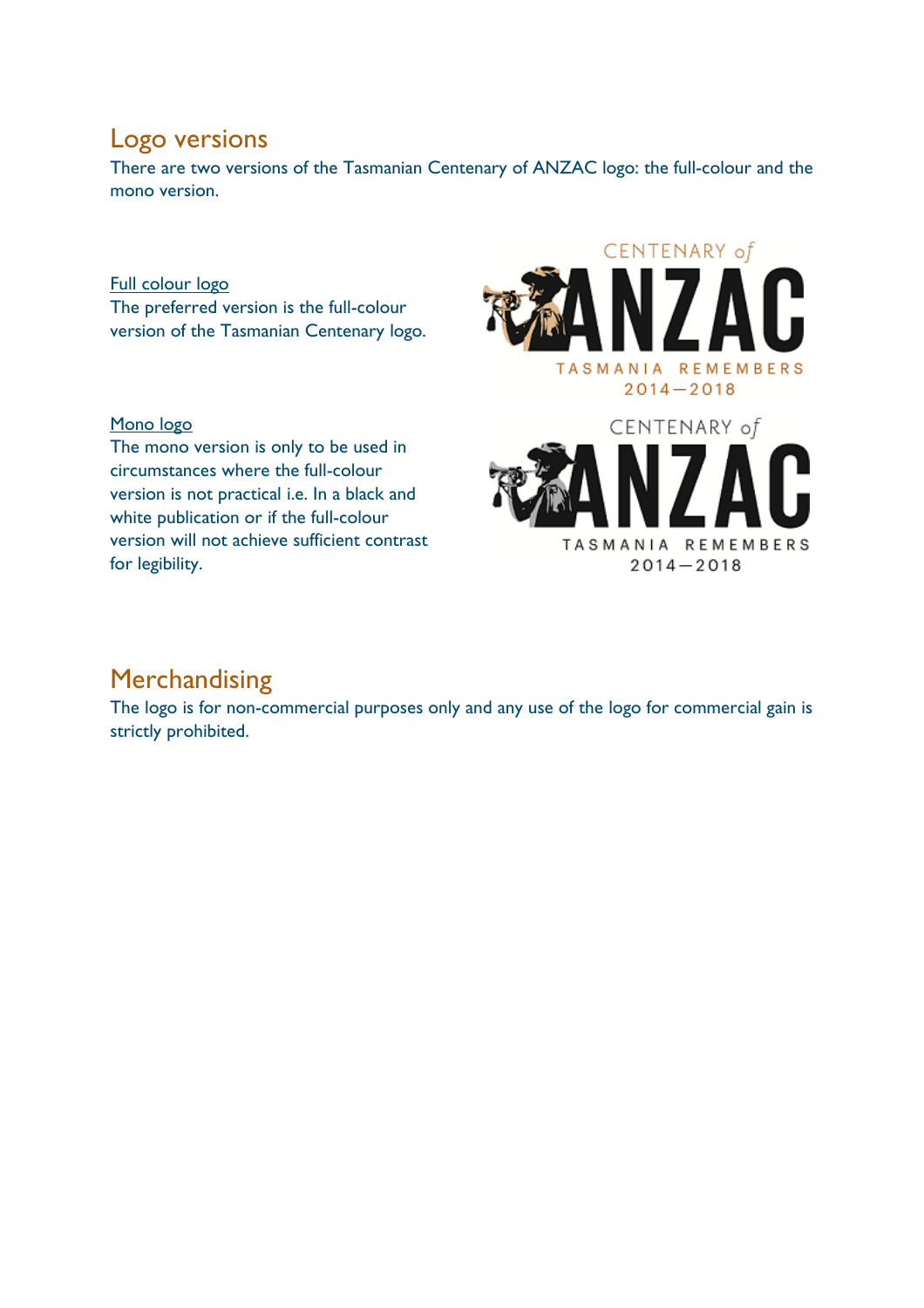## Logo versions

There are two versions of the Tasmanian Centenary of ANZAC logo: the full-colour and the mono version.

Full colour logo The preferred version is the full-colour version of the Tasmanian Centenary logo.

#### Mono logo

The mono version is only to be used in circumstances where the full-colour version is not practical i.e. In a black and white publication or if the full-colour version will not achieve sufficient contrast for legibility.





## Merchandising

The logo is for non-commercial purposes only and any use of the logo for commercial gain is strictly prohibited.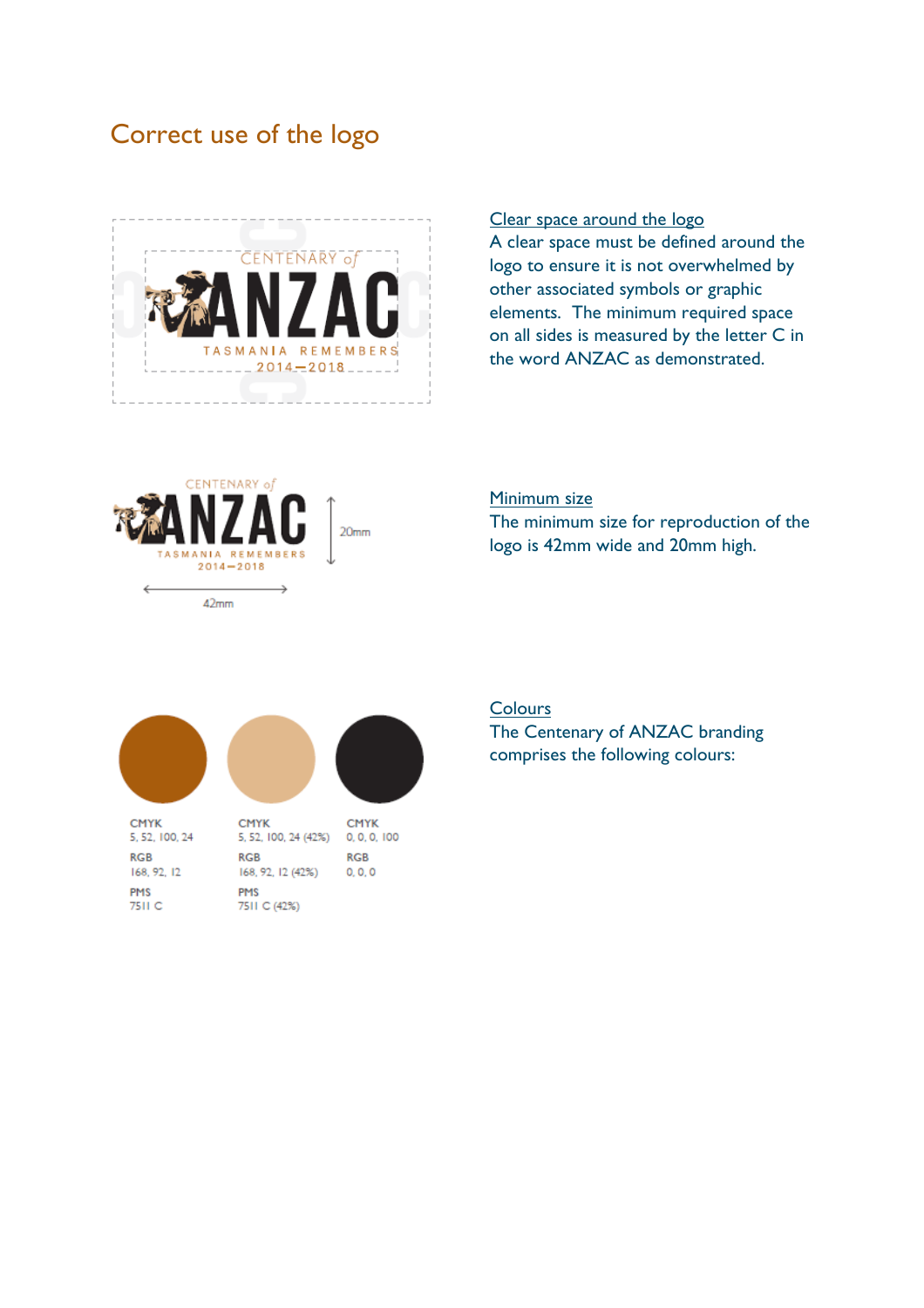# Correct use of the logo



#### Clear space around the logo

A clear space must be defined around the logo to ensure it is not overwhelmed by other associated symbols or graphic elements. The minimum required space on all sides is measured by the letter C in the word ANZAC as demonstrated.



#### Minimum size

The minimum size for reproduction of the logo is 42mm wide and 20mm high.



#### **Colours**

The Centenary of ANZAC branding comprises the following colours: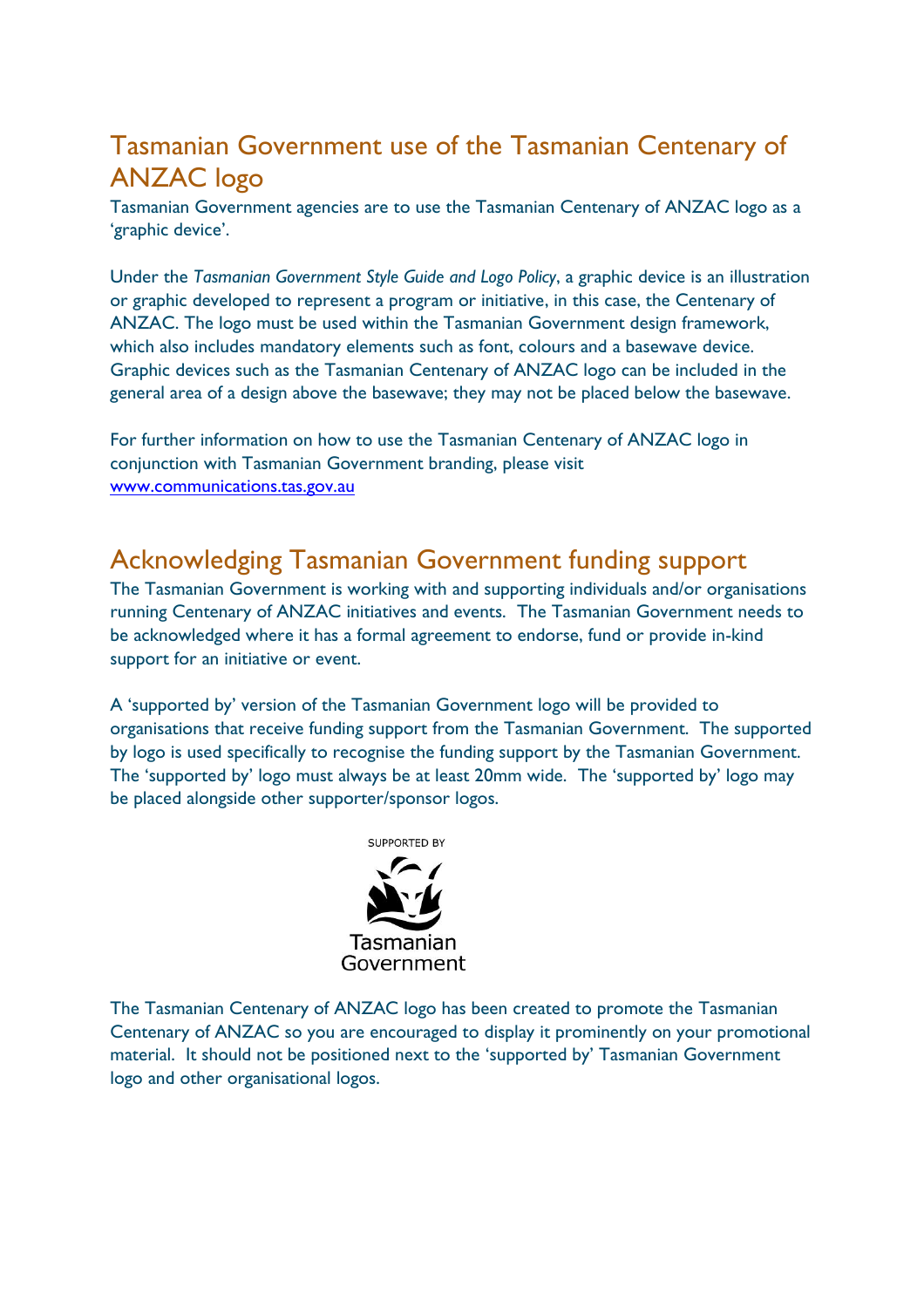# Tasmanian Government use of the Tasmanian Centenary of ANZAC logo

Tasmanian Government agencies are to use the Tasmanian Centenary of ANZAC logo as a 'graphic device'.

Under the *Tasmanian Government Style Guide and Logo Policy*, a graphic device is an illustration or graphic developed to represent a program or initiative, in this case, the Centenary of ANZAC. The logo must be used within the Tasmanian Government design framework, which also includes mandatory elements such as font, colours and a basewave device. Graphic devices such as the Tasmanian Centenary of ANZAC logo can be included in the general area of a design above the basewave; they may not be placed below the basewave.

For further information on how to use the Tasmanian Centenary of ANZAC logo in conjunction with Tasmanian Government branding, please visit [www.communications.tas.gov.au](http://www.communications.tas.gov.au/)

## Acknowledging Tasmanian Government funding support

The Tasmanian Government is working with and supporting individuals and/or organisations running Centenary of ANZAC initiatives and events. The Tasmanian Government needs to be acknowledged where it has a formal agreement to endorse, fund or provide in-kind support for an initiative or event.

A 'supported by' version of the Tasmanian Government logo will be provided to organisations that receive funding support from the Tasmanian Government. The supported by logo is used specifically to recognise the funding support by the Tasmanian Government. The 'supported by' logo must always be at least 20mm wide. The 'supported by' logo may be placed alongside other supporter/sponsor logos.



The Tasmanian Centenary of ANZAC logo has been created to promote the Tasmanian Centenary of ANZAC so you are encouraged to display it prominently on your promotional material. It should not be positioned next to the 'supported by' Tasmanian Government logo and other organisational logos.